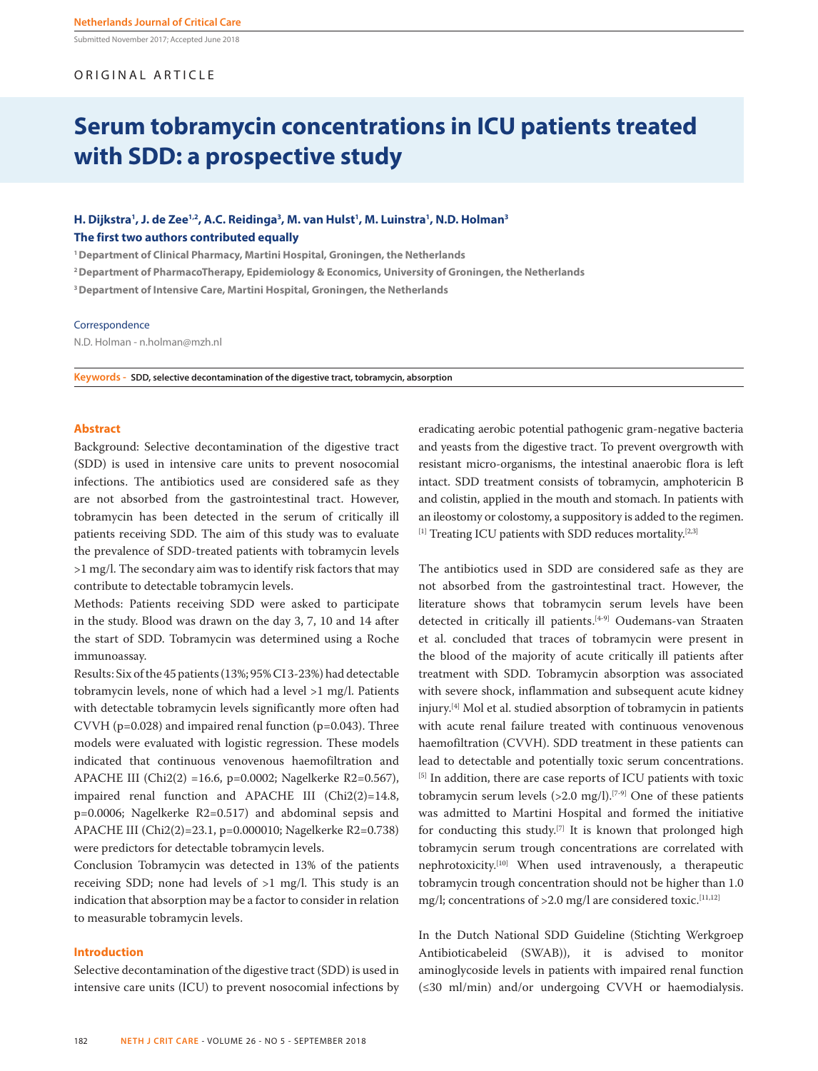Submitted November 2017; Accepted June 2018

# ORIGINAL ARTICLE

# **Serum tobramycin concentrations in ICU patients treated with SDD: a prospective study**

# H. Dijkstra<sup>1</sup>, J. de Zee<sup>1,2</sup>, A.C. Reidinga<sup>3</sup>, M. van Hulst<sup>1</sup>, M. Luinstra<sup>1</sup>, N.D. Holman<sup>3</sup> **The first two authors contributed equally**

**1 Department of Clinical Pharmacy, Martini Hospital, Groningen, the Netherlands**

**2 Department of PharmacoTherapy, Epidemiology & Economics, University of Groningen, the Netherlands**

**3 Department of Intensive Care, Martini Hospital, Groningen, the Netherlands**

#### Correspondence

N.D. Holman - n.holman@mzh.nl

**Keywords - SDD, selective decontamination of the digestive tract, tobramycin, absorption**

## **Abstract**

Background: Selective decontamination of the digestive tract (SDD) is used in intensive care units to prevent nosocomial infections. The antibiotics used are considered safe as they are not absorbed from the gastrointestinal tract. However, tobramycin has been detected in the serum of critically ill patients receiving SDD. The aim of this study was to evaluate the prevalence of SDD-treated patients with tobramycin levels >1 mg/l. The secondary aim was to identify risk factors that may contribute to detectable tobramycin levels.

Methods: Patients receiving SDD were asked to participate in the study. Blood was drawn on the day 3, 7, 10 and 14 after the start of SDD. Tobramycin was determined using a Roche immunoassay.

Results: Six of the 45 patients (13%; 95% CI 3-23%) had detectable tobramycin levels, none of which had a level >1 mg/l. Patients with detectable tobramycin levels significantly more often had CVVH (p=0.028) and impaired renal function (p=0.043). Three models were evaluated with logistic regression. These models indicated that continuous venovenous haemofiltration and APACHE III (Chi2(2) =16.6, p=0.0002; Nagelkerke R2=0.567), impaired renal function and APACHE III (Chi2(2)=14.8, p=0.0006; Nagelkerke R2=0.517) and abdominal sepsis and APACHE III (Chi2(2)=23.1, p=0.000010; Nagelkerke R2=0.738) were predictors for detectable tobramycin levels.

Conclusion Tobramycin was detected in 13% of the patients receiving SDD; none had levels of >1 mg/l. This study is an indication that absorption may be a factor to consider in relation to measurable tobramycin levels.

#### **Introduction**

Selective decontamination of the digestive tract (SDD) is used in intensive care units (ICU) to prevent nosocomial infections by eradicating aerobic potential pathogenic gram-negative bacteria and yeasts from the digestive tract. To prevent overgrowth with resistant micro-organisms, the intestinal anaerobic flora is left intact. SDD treatment consists of tobramycin, amphotericin B and colistin, applied in the mouth and stomach. In patients with an ileostomy or colostomy, a suppository is added to the regimen. [1] Treating ICU patients with SDD reduces mortality.<sup>[2,3]</sup>

The antibiotics used in SDD are considered safe as they are not absorbed from the gastrointestinal tract. However, the literature shows that tobramycin serum levels have been detected in critically ill patients.<sup>[4-9]</sup> Oudemans-van Straaten et al. concluded that traces of tobramycin were present in the blood of the majority of acute critically ill patients after treatment with SDD. Tobramycin absorption was associated with severe shock, inflammation and subsequent acute kidney injury.[4] Mol et al. studied absorption of tobramycin in patients with acute renal failure treated with continuous venovenous haemofiltration (CVVH). SDD treatment in these patients can lead to detectable and potentially toxic serum concentrations. [5] In addition, there are case reports of ICU patients with toxic tobramycin serum levels (>2.0 mg/l).<sup>[7-9]</sup> One of these patients was admitted to Martini Hospital and formed the initiative for conducting this study.<sup>[7]</sup> It is known that prolonged high tobramycin serum trough concentrations are correlated with nephrotoxicity.[10] When used intravenously, a therapeutic tobramycin trough concentration should not be higher than 1.0 mg/l; concentrations of  $>2.0$  mg/l are considered toxic.<sup>[11,12]</sup>

In the Dutch National SDD Guideline (Stichting Werkgroep Antibioticabeleid (SWAB)), it is advised to monitor aminoglycoside levels in patients with impaired renal function (≤30 ml/min) and/or undergoing CVVH or haemodialysis.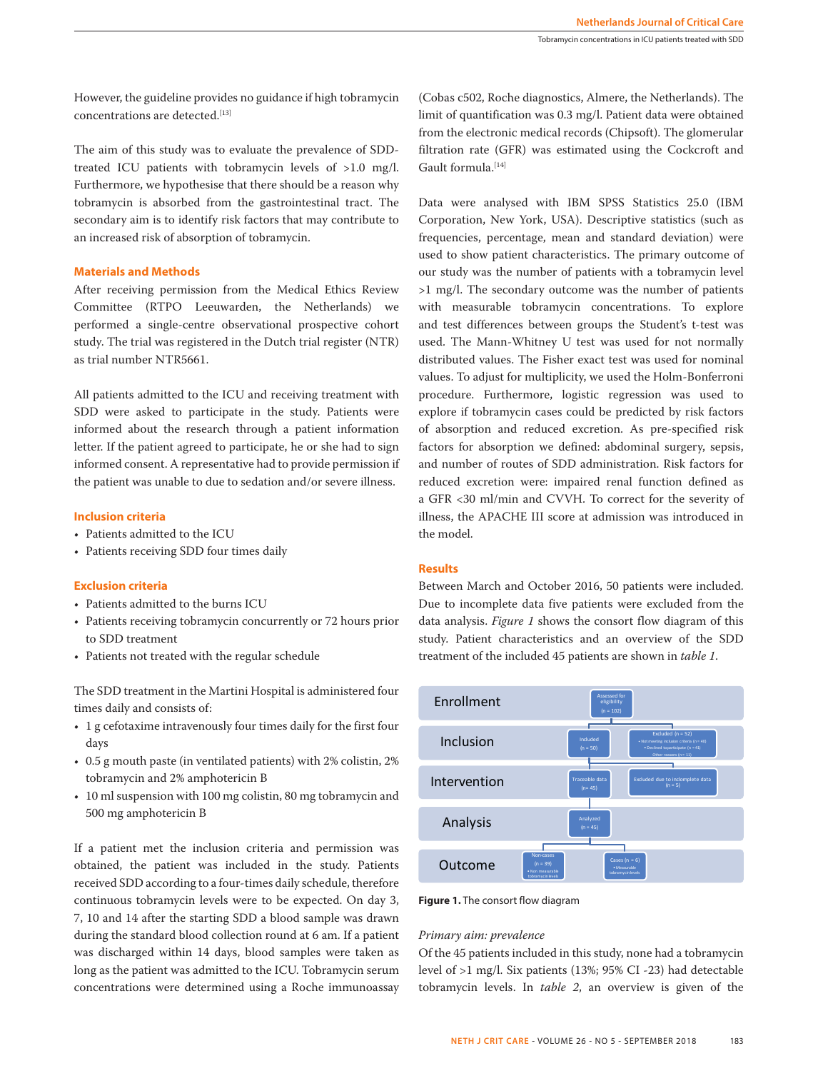However, the guideline provides no guidance if high tobramycin concentrations are detected.<sup>[13]</sup>

The aim of this study was to evaluate the prevalence of SDDtreated ICU patients with tobramycin levels of >1.0 mg/l. Furthermore, we hypothesise that there should be a reason why tobramycin is absorbed from the gastrointestinal tract. The secondary aim is to identify risk factors that may contribute to an increased risk of absorption of tobramycin.

# **Materials and Methods**

After receiving permission from the Medical Ethics Review Committee (RTPO Leeuwarden, the Netherlands) we performed a single-centre observational prospective cohort study. The trial was registered in the Dutch trial register (NTR) as trial number NTR5661.

All patients admitted to the ICU and receiving treatment with SDD were asked to participate in the study. Patients were informed about the research through a patient information letter. If the patient agreed to participate, he or she had to sign informed consent. A representative had to provide permission if the patient was unable to due to sedation and/or severe illness.

# **Inclusion criteria**

- Patients admitted to the ICU
- Patients receiving SDD four times daily

#### **Exclusion criteria**

- Patients admitted to the burns ICU
- Patients receiving tobramycin concurrently or 72 hours prior to SDD treatment
- Patients not treated with the regular schedule

The SDD treatment in the Martini Hospital is administered four times daily and consists of:

- 1 g cefotaxime intravenously four times daily for the first four days
- 0.5 g mouth paste (in ventilated patients) with 2% colistin, 2% tobramycin and 2% amphotericin B
- 10 ml suspension with 100 mg colistin, 80 mg tobramycin and 500 mg amphotericin B

If a patient met the inclusion criteria and permission was obtained, the patient was included in the study. Patients received SDD according to a four-times daily schedule, therefore continuous tobramycin levels were to be expected. On day 3, 7, 10 and 14 after the starting SDD a blood sample was drawn during the standard blood collection round at 6 am. If a patient was discharged within 14 days, blood samples were taken as long as the patient was admitted to the ICU. Tobramycin serum concentrations were determined using a Roche immunoassay

(Cobas c502, Roche diagnostics, Almere, the Netherlands). The limit of quantification was 0.3 mg/l. Patient data were obtained from the electronic medical records (Chipsoft). The glomerular filtration rate (GFR) was estimated using the Cockcroft and Gault formula.<sup>[14]</sup>

Data were analysed with IBM SPSS Statistics 25.0 (IBM Corporation, New York, USA). Descriptive statistics (such as frequencies, percentage, mean and standard deviation) were used to show patient characteristics. The primary outcome of our study was the number of patients with a tobramycin level >1 mg/l. The secondary outcome was the number of patients with measurable tobramycin concentrations. To explore and test differences between groups the Student's t-test was used. The Mann-Whitney U test was used for not normally distributed values. The Fisher exact test was used for nominal values. To adjust for multiplicity, we used the Holm-Bonferroni procedure. Furthermore, logistic regression was used to explore if tobramycin cases could be predicted by risk factors of absorption and reduced excretion. As pre-specified risk factors for absorption we defined: abdominal surgery, sepsis, and number of routes of SDD administration. Risk factors for reduced excretion were: impaired renal function defined as a GFR <30 ml/min and CVVH. To correct for the severity of illness, the APACHE III score at admission was introduced in the model.

#### **Results**

Between March and October 2016, 50 patients were included. Due to incomplete data five patients were excluded from the data analysis. *Figure 1* shows the consort flow diagram of this study. Patient characteristics and an overview of the SDD treatment of the included 45 patients are shown in *table 1*.



**Figure 1.** The consort flow diagram

#### *Primary aim: prevalence*

Of the 45 patients included in this study, none had a tobramycin level of >1 mg/l. Six patients (13%; 95% CI -23) had detectable tobramycin levels. In *table 2*, an overview is given of the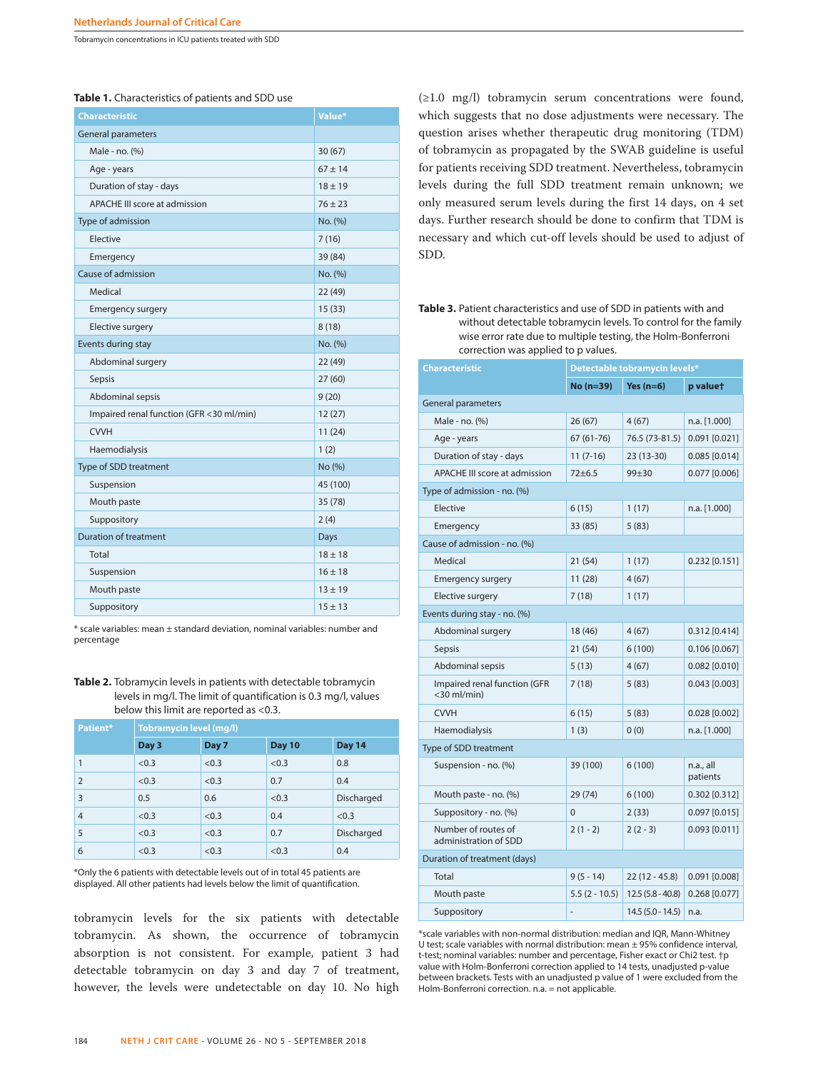Tobramycin concentrations in ICU patients treated with SDD

**Table 1.** Characteristics of patients and SDD use

| <b>Characteristic</b>                    | Value*      |
|------------------------------------------|-------------|
| <b>General parameters</b>                |             |
| Male - no. (%)                           | 30(67)      |
| Age - years                              | $67 \pm 14$ |
| Duration of stay - days                  | $18 \pm 19$ |
| <b>APACHE III score at admission</b>     | $76 + 23$   |
| Type of admission                        | No. (%)     |
| Elective                                 | 7(16)       |
| Emergency                                | 39 (84)     |
| Cause of admission                       | No. (%)     |
| Medical                                  | 22(49)      |
| <b>Emergency surgery</b>                 | 15(33)      |
| Elective surgery                         | 8(18)       |
| Events during stay                       | No. (%)     |
| Abdominal surgery                        | 22 (49)     |
| Sepsis                                   | 27(60)      |
| Abdominal sepsis                         | 9(20)       |
| Impaired renal function (GFR <30 ml/min) | 12(27)      |
| <b>CVVH</b>                              | 11(24)      |
| Haemodialysis                            | 1(2)        |
| Type of SDD treatment                    | No (%)      |
| Suspension                               | 45 (100)    |
| Mouth paste                              | 35(78)      |
| Suppository                              | 2(4)        |
| <b>Duration of treatment</b>             | Days        |
| Total                                    | $18 \pm 18$ |
| Suspension                               | $16 \pm 18$ |
| Mouth paste                              | $13 \pm 19$ |
| Suppository                              | $15 \pm 13$ |

\* scale variables: mean ± standard deviation, nominal variables: number and percentage

**Table 2.** Tobramycin levels in patients with detectable tobramycin levels in mg/l. The limit of quantification is 0.3 mg/l, values below this limit are reported as <0.3.

| Patient*       | <b>Tobramycin level (mg/l)</b> |       |               |            |
|----------------|--------------------------------|-------|---------------|------------|
|                | Day 3                          | Day 7 | <b>Day 10</b> | Day 14     |
| 1              | < 0.3                          | < 0.3 | < 0.3         | 0.8        |
| $\overline{2}$ | < 0.3                          | < 0.3 | 0.7           | 0.4        |
| $\overline{3}$ | 0.5                            | 0.6   | < 0.3         | Discharged |
| $\overline{4}$ | < 0.3                          | < 0.3 | 0.4           | < 0.3      |
| 5              | < 0.3                          | < 0.3 | 0.7           | Discharged |
| 6              | < 0.3                          | < 0.3 | < 0.3         | 0.4        |

\*Only the 6 patients with detectable levels out of in total 45 patients are displayed. All other patients had levels below the limit of quantification.

tobramycin levels for the six patients with detectable tobramycin. As shown, the occurrence of tobramycin absorption is not consistent. For example, patient 3 had detectable tobramycin on day 3 and day 7 of treatment, however, the levels were undetectable on day 10. No high

(≥1.0 mg/l) tobramycin serum concentrations were found, which suggests that no dose adjustments were necessary. The question arises whether therapeutic drug monitoring (TDM) of tobramycin as propagated by the SWAB guideline is useful for patients receiving SDD treatment. Nevertheless, tobramycin levels during the full SDD treatment remain unknown; we only measured serum levels during the first 14 days, on 4 set days. Further research should be done to confirm that TDM is necessary and which cut-off levels should be used to adjust of SDD.

**Table 3.** Patient characteristics and use of SDD in patients with and without detectable tobramycin levels. To control for the family wise error rate due to multiple testing, the Holm-Bonferroni correction was applied to p values.

| <b>Characteristic</b>                             | Detectable tobramycin levels* |                    |                       |  |
|---------------------------------------------------|-------------------------------|--------------------|-----------------------|--|
|                                                   | $No (n=39)$                   | Yes $(n=6)$        | p valuet              |  |
| <b>General parameters</b>                         |                               |                    |                       |  |
| Male - no. (%)                                    | 26(67)                        | 4(67)              | n.a. [1.000]          |  |
| Age - years                                       | $67(61-76)$                   | 76.5 (73-81.5)     | $0.091$ $[0.021]$     |  |
| Duration of stay - days                           | $11(7-16)$                    | 23 (13-30)         | $0.085$ [0.014]       |  |
| <b>APACHE III score at admission</b>              | $72 + 6.5$                    | $99 + 30$          | $0.077$ [0.006]       |  |
| Type of admission - no. (%)                       |                               |                    |                       |  |
| Elective                                          | 6(15)                         | 1(17)              | n.a. [1.000]          |  |
| Emergency                                         | 33 (85)                       | 5(83)              |                       |  |
| Cause of admission - no. (%)                      |                               |                    |                       |  |
| Medical                                           | 21(54)                        | 1(17)              | $0.232$ [0.151]       |  |
| <b>Emergency surgery</b>                          | 11(28)                        | 4(67)              |                       |  |
| Elective surgery                                  | 7(18)                         | 1(17)              |                       |  |
| Events during stay - no. (%)                      |                               |                    |                       |  |
| Abdominal surgery                                 | 18 (46)                       | 4(67)              | $0.312$ [0.414]       |  |
| <b>Sepsis</b>                                     | 21(54)                        | 6(100)             | $0.106$ [0.067]       |  |
| Abdominal sepsis                                  | 5(13)                         | 4(67)              | $0.082$ [0.010]       |  |
| Impaired renal function (GFR<br>$<$ 30 ml/min $)$ | 7(18)                         | 5(83)              | $0.043$ [0.003]       |  |
| <b>CVVH</b>                                       | 6(15)                         | 5(83)              | $0.028$ [0.002]       |  |
| Haemodialysis                                     | 1(3)                          | 0(0)               | n.a. [1.000]          |  |
| Type of SDD treatment                             |                               |                    |                       |  |
| Suspension - no. (%)                              | 39 (100)                      | 6(100)             | n.a., all<br>patients |  |
| Mouth paste - no. (%)                             | 29 (74)                       | 6(100)             | $0.302$ [0.312]       |  |
| Suppository - no. (%)                             | $\Omega$                      | 2(33)              | $0.097$ [0.015]       |  |
| Number of routes of<br>administration of SDD      | $2(1 - 2)$                    | $2(2-3)$           | $0.093$ $[0.011]$     |  |
| Duration of treatment (days)                      |                               |                    |                       |  |
| Total                                             | $9(5 - 14)$                   | $22(12 - 45.8)$    | $0.091$ $[0.008]$     |  |
| Mouth paste                                       | $5.5(2 - 10.5)$               | $12.5(5.8 - 40.8)$ | $0.268$ [0.077]       |  |
| Suppository                                       |                               | $14.5(5.0 - 14.5)$ | n.a.                  |  |

\*scale variables with non-normal distribution: median and IQR, Mann-Whitney U test; scale variables with normal distribution: mean ± 95% confidence interval, t-test; nominal variables: number and percentage, Fisher exact or Chi2 test. †p value with Holm-Bonferroni correction applied to 14 tests, unadjusted p-value between brackets. Tests with an unadjusted p value of 1 were excluded from the Holm-Bonferroni correction. n.a. = not applicable.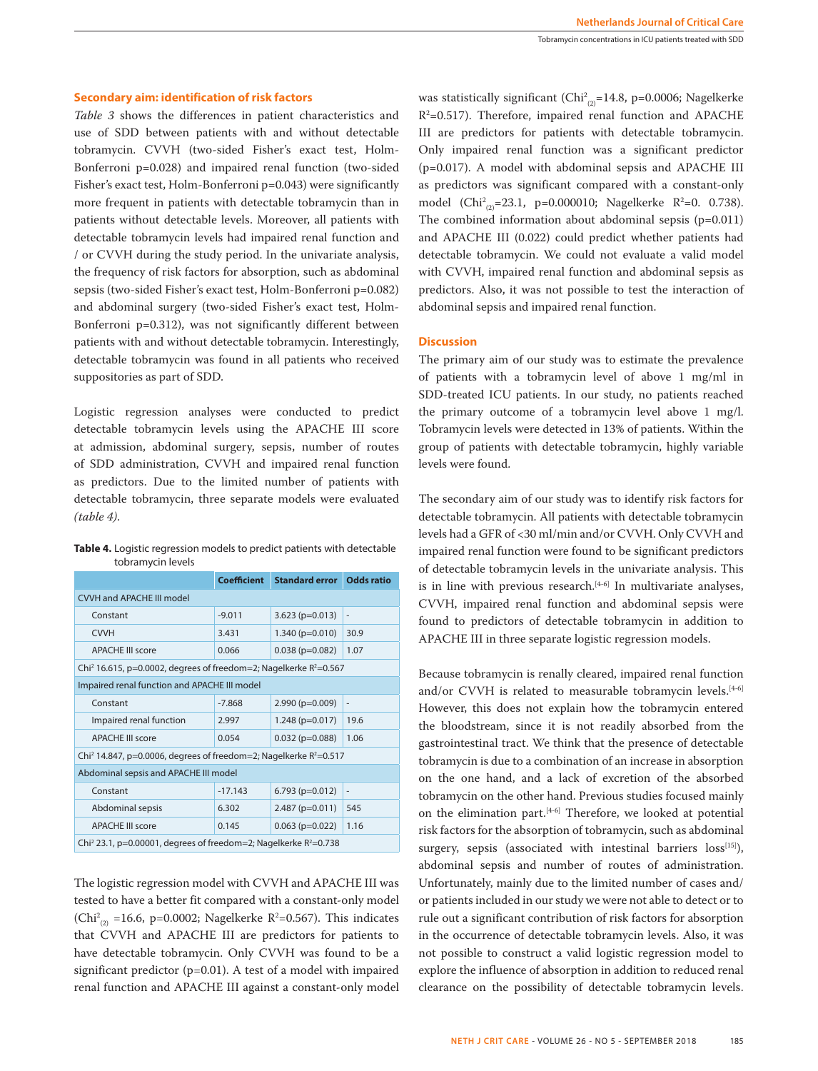# **Secondary aim: identification of risk factors**

*Table 3* shows the differences in patient characteristics and use of SDD between patients with and without detectable tobramycin. CVVH (two-sided Fisher's exact test, Holm-Bonferroni p=0.028) and impaired renal function (two-sided Fisher's exact test, Holm-Bonferroni p=0.043) were significantly more frequent in patients with detectable tobramycin than in patients without detectable levels. Moreover, all patients with detectable tobramycin levels had impaired renal function and / or CVVH during the study period. In the univariate analysis, the frequency of risk factors for absorption, such as abdominal sepsis (two-sided Fisher's exact test, Holm-Bonferroni p=0.082) and abdominal surgery (two-sided Fisher's exact test, Holm-Bonferroni p=0.312), was not significantly different between patients with and without detectable tobramycin. Interestingly, detectable tobramycin was found in all patients who received suppositories as part of SDD.

Logistic regression analyses were conducted to predict detectable tobramycin levels using the APACHE III score at admission, abdominal surgery, sepsis, number of routes of SDD administration, CVVH and impaired renal function as predictors. Due to the limited number of patients with detectable tobramycin, three separate models were evaluated *(table 4)*.

**Table 4.** Logistic regression models to predict patients with detectable tobramycin levels

|                                                                                  | <b>Coefficient</b> | <b>Standard error</b> Odds ratio |                              |  |
|----------------------------------------------------------------------------------|--------------------|----------------------------------|------------------------------|--|
| <b>CVVH and APACHE III model</b>                                                 |                    |                                  |                              |  |
| Constant                                                                         | $-9.011$           | $3.623$ (p=0.013)                | $\qquad \qquad \blacksquare$ |  |
| <b>CVVH</b>                                                                      | 3.431              | $1.340$ (p=0.010)                | 30.9                         |  |
| <b>APACHE III score</b>                                                          | 0.066              | $0.038$ (p=0.082)                | 1.07                         |  |
| Chi <sup>2</sup> 16.615, p=0.0002, degrees of freedom=2; Nagelkerke $R^2$ =0.567 |                    |                                  |                              |  |
| Impaired renal function and APACHE III model                                     |                    |                                  |                              |  |
| Constant                                                                         | $-7.868$           | $2.990$ (p=0.009)                | $\overline{a}$               |  |
| Impaired renal function                                                          | 2.997              | $1.248$ (p=0.017)                | 19.6                         |  |
| <b>APACHE III score</b>                                                          | 0.054              | $0.032$ (p=0.088)                | 1.06                         |  |
| Chi <sup>2</sup> 14.847, p=0.0006, degrees of freedom=2; Nagelkerke $R^2$ =0.517 |                    |                                  |                              |  |
| Abdominal sepsis and APACHE III model                                            |                    |                                  |                              |  |
| Constant                                                                         | $-17.143$          | $6.793$ (p=0.012)                | $\overline{a}$               |  |
| Abdominal sepsis                                                                 | 6.302              | 2.487 (p=0.011)                  | 545                          |  |
| <b>APACHE III score</b>                                                          | 0.145              | $0.063$ (p=0.022)                | 1.16                         |  |
| Chi <sup>2</sup> 23.1, p=0.00001, degrees of freedom=2; Nagelkerke $R^2$ =0.738  |                    |                                  |                              |  |

The logistic regression model with CVVH and APACHE III was tested to have a better fit compared with a constant-only model (Chi<sup>2</sup><sub>(2)</sub> = 16.6, p=0.0002; Nagelkerke R<sup>2</sup>=0.567). This indicates that CVVH and APACHE III are predictors for patients to have detectable tobramycin. Only CVVH was found to be a significant predictor (p=0.01). A test of a model with impaired renal function and APACHE III against a constant-only model

was statistically significant (Chi<sup>2</sup><sub>(2)</sub>=14.8, p=0.0006; Nagelkerke R2 =0.517). Therefore, impaired renal function and APACHE III are predictors for patients with detectable tobramycin. Only impaired renal function was a significant predictor (p=0.017). A model with abdominal sepsis and APACHE III as predictors was significant compared with a constant-only model (Chi<sup>2</sup><sub>(2)</sub>=23.1, p=0.000010; Nagelkerke R<sup>2</sup>=0. 0.738). The combined information about abdominal sepsis (p=0.011) and APACHE III (0.022) could predict whether patients had detectable tobramycin. We could not evaluate a valid model with CVVH, impaired renal function and abdominal sepsis as predictors. Also, it was not possible to test the interaction of abdominal sepsis and impaired renal function.

#### **Discussion**

The primary aim of our study was to estimate the prevalence of patients with a tobramycin level of above 1 mg/ml in SDD-treated ICU patients. In our study, no patients reached the primary outcome of a tobramycin level above 1 mg/l. Tobramycin levels were detected in 13% of patients. Within the group of patients with detectable tobramycin, highly variable levels were found.

The secondary aim of our study was to identify risk factors for detectable tobramycin. All patients with detectable tobramycin levels had a GFR of <30 ml/min and/or CVVH. Only CVVH and impaired renal function were found to be significant predictors of detectable tobramycin levels in the univariate analysis. This is in line with previous research. $[4-6]$  In multivariate analyses, CVVH, impaired renal function and abdominal sepsis were found to predictors of detectable tobramycin in addition to APACHE III in three separate logistic regression models.

Because tobramycin is renally cleared, impaired renal function and/or CVVH is related to measurable tobramycin levels. $[4-6]$ However, this does not explain how the tobramycin entered the bloodstream, since it is not readily absorbed from the gastrointestinal tract. We think that the presence of detectable tobramycin is due to a combination of an increase in absorption on the one hand, and a lack of excretion of the absorbed tobramycin on the other hand. Previous studies focused mainly on the elimination part.<sup>[4-6]</sup> Therefore, we looked at potential risk factors for the absorption of tobramycin, such as abdominal surgery, sepsis (associated with intestinal barriers  $loss^{[15]}$ ), abdominal sepsis and number of routes of administration. Unfortunately, mainly due to the limited number of cases and/ or patients included in our study we were not able to detect or to rule out a significant contribution of risk factors for absorption in the occurrence of detectable tobramycin levels. Also, it was not possible to construct a valid logistic regression model to explore the influence of absorption in addition to reduced renal clearance on the possibility of detectable tobramycin levels.